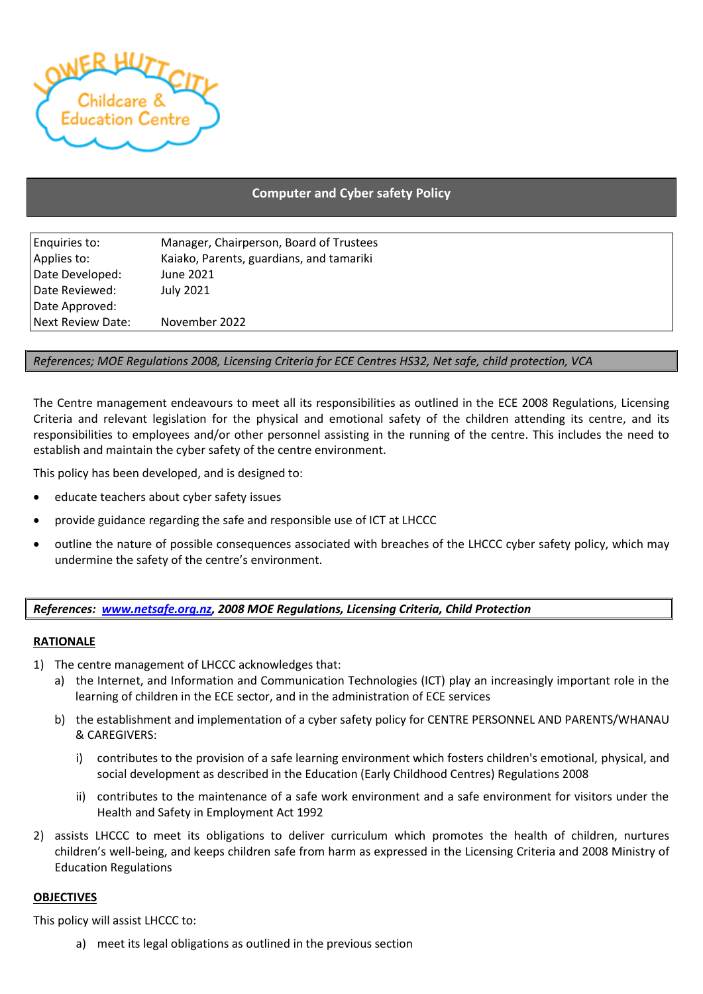

# **Computer and Cyber safety Policy**

| Enquiries to:     | Manager, Chairperson, Board of Trustees  |
|-------------------|------------------------------------------|
| Applies to:       | Kaiako, Parents, guardians, and tamariki |
| Date Developed:   | June 2021                                |
| Date Reviewed:    | July 2021                                |
| Date Approved:    |                                          |
| Next Review Date: | November 2022                            |

### *References; MOE Regulations 2008, Licensing Criteria for ECE Centres HS32, Net safe, child protection, VCA*

The Centre management endeavours to meet all its responsibilities as outlined in the ECE 2008 Regulations, Licensing Criteria and relevant legislation for the physical and emotional safety of the children attending its centre, and its responsibilities to employees and/or other personnel assisting in the running of the centre. This includes the need to establish and maintain the cyber safety of the centre environment.

This policy has been developed, and is designed to:

- educate teachers about cyber safety issues
- provide guidance regarding the safe and responsible use of ICT at LHCCC
- outline the nature of possible consequences associated with breaches of the LHCCC cyber safety policy, which may undermine the safety of the centre's environment.

### *References: [www.netsafe.org.nz,](http://www.netsafe.org.nz/) 2008 MOE Regulations, Licensing Criteria, Child Protection*

#### **RATIONALE**

- 1) The centre management of LHCCC acknowledges that:
	- a) the Internet, and Information and Communication Technologies (ICT) play an increasingly important role in the learning of children in the ECE sector, and in the administration of ECE services
	- b) the establishment and implementation of a cyber safety policy for CENTRE PERSONNEL AND PARENTS/WHANAU & CAREGIVERS:
		- i) contributes to the provision of a safe learning environment which fosters children's emotional, physical, and social development as described in the Education (Early Childhood Centres) Regulations 2008
		- ii) contributes to the maintenance of a safe work environment and a safe environment for visitors under the Health and Safety in Employment Act 1992
- 2) assists LHCCC to meet its obligations to deliver curriculum which promotes the health of children, nurtures children's well-being, and keeps children safe from harm as expressed in the Licensing Criteria and 2008 Ministry of Education Regulations

### **OBJECTIVES**

This policy will assist LHCCC to:

a) meet its legal obligations as outlined in the previous section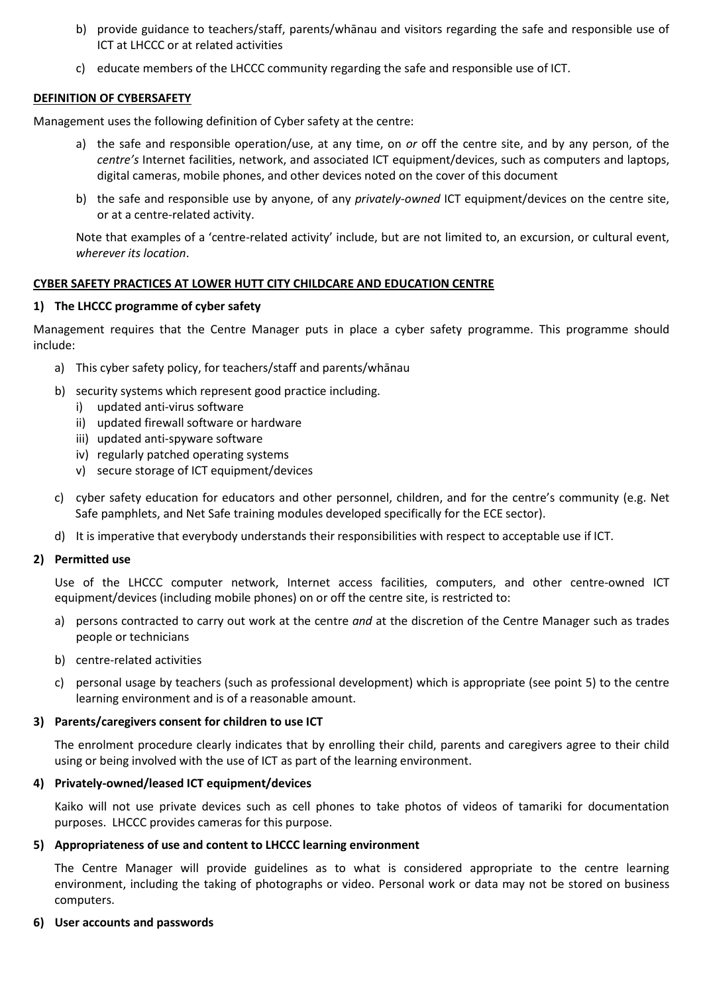- b) provide guidance to teachers/staff, parents/whānau and visitors regarding the safe and responsible use of ICT at LHCCC or at related activities
- c) educate members of the LHCCC community regarding the safe and responsible use of ICT.

### **DEFINITION OF CYBERSAFETY**

Management uses the following definition of Cyber safety at the centre:

- a) the safe and responsible operation/use, at any time, on *or* off the centre site, and by any person, of the *centre's* Internet facilities, network, and associated ICT equipment/devices, such as computers and laptops, digital cameras, mobile phones, and other devices noted on the cover of this document
- b) the safe and responsible use by anyone, of any *privately-owned* ICT equipment/devices on the centre site, or at a centre-related activity.

Note that examples of a 'centre-related activity' include, but are not limited to, an excursion, or cultural event, *wherever its location*.

### **CYBER SAFETY PRACTICES AT LOWER HUTT CITY CHILDCARE AND EDUCATION CENTRE**

### **1) The LHCCC programme of cyber safety**

Management requires that the Centre Manager puts in place a cyber safety programme. This programme should include:

- a) This cyber safety policy, for teachers/staff and parents/whānau
- b) security systems which represent good practice including.
	- i) updated anti-virus software
		- ii) updated firewall software or hardware
		- iii) updated anti-spyware software
		- iv) regularly patched operating systems
		- v) secure storage of ICT equipment/devices
- c) cyber safety education for educators and other personnel, children, and for the centre's community (e.g. Net Safe pamphlets, and Net Safe training modules developed specifically for the ECE sector).
- d) It is imperative that everybody understands their responsibilities with respect to acceptable use if ICT.

### **2) Permitted use**

Use of the LHCCC computer network, Internet access facilities, computers, and other centre-owned ICT equipment/devices (including mobile phones) on or off the centre site, is restricted to:

- a) persons contracted to carry out work at the centre *and* at the discretion of the Centre Manager such as trades people or technicians
- b) centre-related activities
- c) personal usage by teachers (such as professional development) which is appropriate (see point 5) to the centre learning environment and is of a reasonable amount.

### **3) Parents/caregivers consent for children to use ICT**

The enrolment procedure clearly indicates that by enrolling their child, parents and caregivers agree to their child using or being involved with the use of ICT as part of the learning environment.

## **4) Privately-owned/leased ICT equipment/devices**

Kaiko will not use private devices such as cell phones to take photos of videos of tamariki for documentation purposes. LHCCC provides cameras for this purpose.

### **5) Appropriateness of use and content to LHCCC learning environment**

The Centre Manager will provide guidelines as to what is considered appropriate to the centre learning environment, including the taking of photographs or video. Personal work or data may not be stored on business computers.

### **6) User accounts and passwords**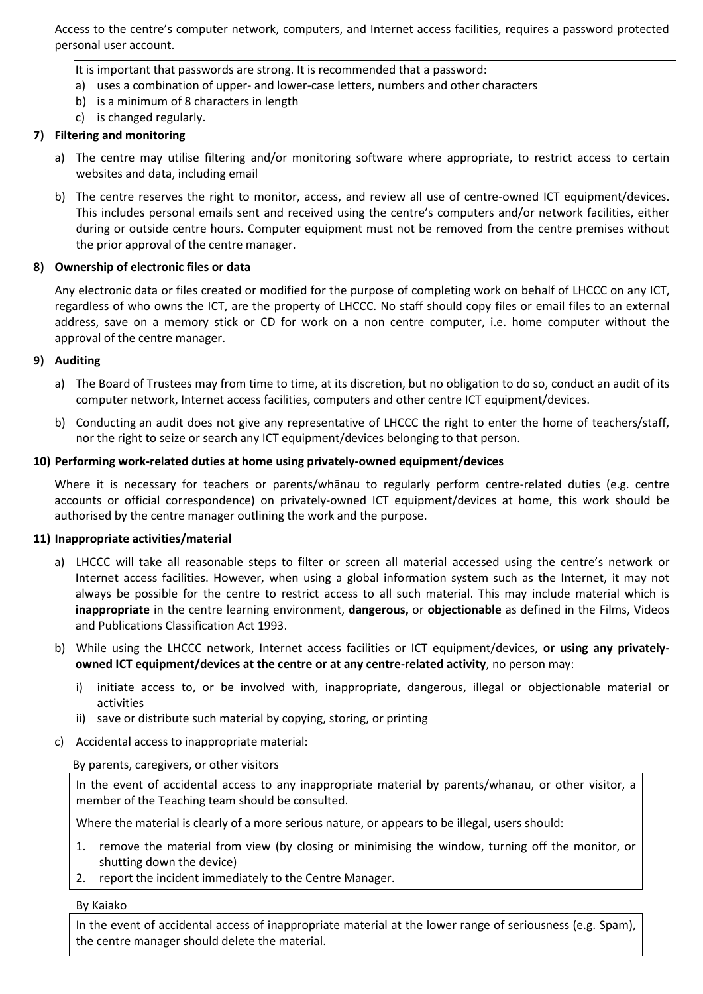Access to the centre's computer network, computers, and Internet access facilities, requires a password protected personal user account.

- It is important that passwords are strong. It is recommended that a password:
- a) uses a combination of upper- and lower-case letters, numbers and other characters
- b) is a minimum of 8 characters in length
- c) is changed regularly.

### **7) Filtering and monitoring**

- a) The centre may utilise filtering and/or monitoring software where appropriate, to restrict access to certain websites and data, including email
- b) The centre reserves the right to monitor, access, and review all use of centre-owned ICT equipment/devices. This includes personal emails sent and received using the centre's computers and/or network facilities, either during or outside centre hours. Computer equipment must not be removed from the centre premises without the prior approval of the centre manager.

### **8) Ownership of electronic files or data**

Any electronic data or files created or modified for the purpose of completing work on behalf of LHCCC on any ICT, regardless of who owns the ICT, are the property of LHCCC. No staff should copy files or email files to an external address, save on a memory stick or CD for work on a non centre computer, i.e. home computer without the approval of the centre manager.

### **9) Auditing**

- a) The Board of Trustees may from time to time, at its discretion, but no obligation to do so, conduct an audit of its computer network, Internet access facilities, computers and other centre ICT equipment/devices.
- b) Conducting an audit does not give any representative of LHCCC the right to enter the home of teachers/staff, nor the right to seize or search any ICT equipment/devices belonging to that person.

### **10) Performing work-related duties at home using privately-owned equipment/devices**

Where it is necessary for teachers or parents/whānau to regularly perform centre-related duties (e.g. centre accounts or official correspondence) on privately-owned ICT equipment/devices at home, this work should be authorised by the centre manager outlining the work and the purpose.

### **11) Inappropriate activities/material**

- a) LHCCC will take all reasonable steps to filter or screen all material accessed using the centre's network or Internet access facilities. However, when using a global information system such as the Internet, it may not always be possible for the centre to restrict access to all such material. This may include material which is **inappropriate** in the centre learning environment, **dangerous,** or **objectionable** as defined in the Films, Videos and Publications Classification Act 1993.
- b) While using the LHCCC network, Internet access facilities or ICT equipment/devices, **or using any privatelyowned ICT equipment/devices at the centre or at any centre-related activity**, no person may:
	- i) initiate access to, or be involved with, inappropriate, dangerous, illegal or objectionable material or activities
	- ii) save or distribute such material by copying, storing, or printing
- c) Accidental access to inappropriate material:

## By parents, caregivers, or other visitors

In the event of accidental access to any inappropriate material by parents/whanau, or other visitor, a member of the Teaching team should be consulted.

Where the material is clearly of a more serious nature, or appears to be illegal, users should:

- 1. remove the material from view (by closing or minimising the window, turning off the monitor, or shutting down the device)
- 2. report the incident immediately to the Centre Manager.

### By Kaiako

In the event of accidental access of inappropriate material at the lower range of seriousness (e.g. Spam), the centre manager should delete the material.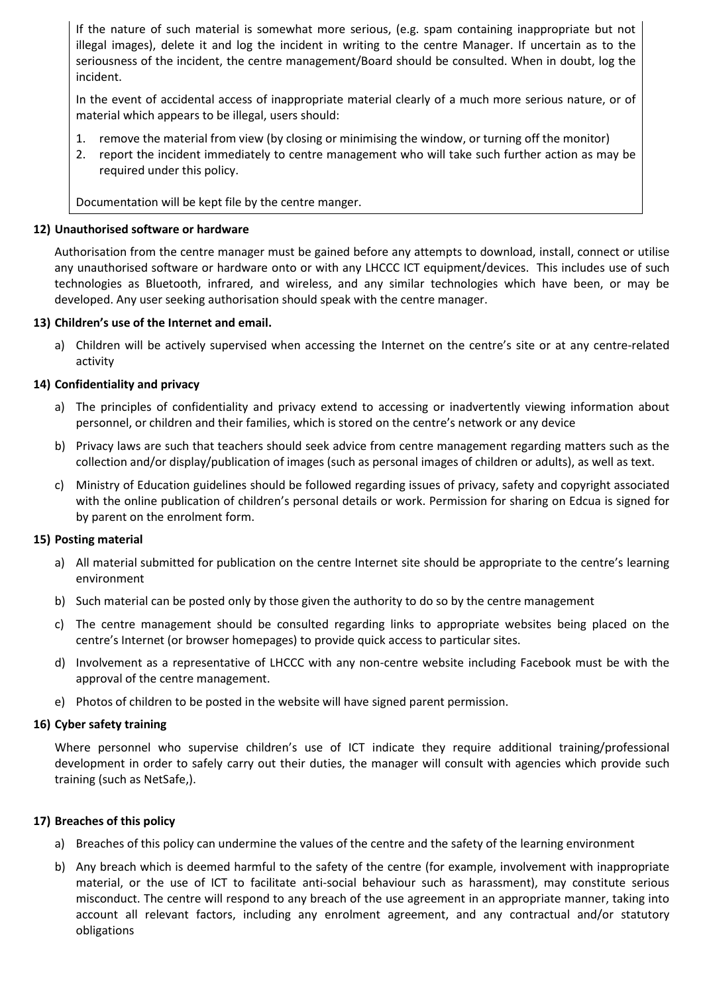If the nature of such material is somewhat more serious, (e.g. spam containing inappropriate but not illegal images), delete it and log the incident in writing to the centre Manager. If uncertain as to the seriousness of the incident, the centre management/Board should be consulted. When in doubt, log the incident.

In the event of accidental access of inappropriate material clearly of a much more serious nature, or of material which appears to be illegal, users should:

- 1. remove the material from view (by closing or minimising the window, or turning off the monitor)
- 2. report the incident immediately to centre management who will take such further action as may be required under this policy.

Documentation will be kept file by the centre manger.

### **12) Unauthorised software or hardware**

Authorisation from the centre manager must be gained before any attempts to download, install, connect or utilise any unauthorised software or hardware onto or with any LHCCC ICT equipment/devices. This includes use of such technologies as Bluetooth, infrared, and wireless, and any similar technologies which have been, or may be developed. Any user seeking authorisation should speak with the centre manager.

### **13) Children's use of the Internet and email.**

a) Children will be actively supervised when accessing the Internet on the centre's site or at any centre-related activity

### **14) Confidentiality and privacy**

- a) The principles of confidentiality and privacy extend to accessing or inadvertently viewing information about personnel, or children and their families, which is stored on the centre's network or any device
- b) Privacy laws are such that teachers should seek advice from centre management regarding matters such as the collection and/or display/publication of images (such as personal images of children or adults), as well as text.
- c) Ministry of Education guidelines should be followed regarding issues of privacy, safety and copyright associated with the online publication of children's personal details or work. Permission for sharing on Edcua is signed for by parent on the enrolment form.

### **15) Posting material**

- a) All material submitted for publication on the centre Internet site should be appropriate to the centre's learning environment
- b) Such material can be posted only by those given the authority to do so by the centre management
- c) The centre management should be consulted regarding links to appropriate websites being placed on the centre's Internet (or browser homepages) to provide quick access to particular sites.
- d) Involvement as a representative of LHCCC with any non-centre website including Facebook must be with the approval of the centre management.
- e) Photos of children to be posted in the website will have signed parent permission.

### **16) Cyber safety training**

Where personnel who supervise children's use of ICT indicate they require additional training/professional development in order to safely carry out their duties, the manager will consult with agencies which provide such training (such as NetSafe,).

### **17) Breaches of this policy**

- a) Breaches of this policy can undermine the values of the centre and the safety of the learning environment
- b) Any breach which is deemed harmful to the safety of the centre (for example, involvement with inappropriate material, or the use of ICT to facilitate anti-social behaviour such as harassment), may constitute serious misconduct. The centre will respond to any breach of the use agreement in an appropriate manner, taking into account all relevant factors, including any enrolment agreement, and any contractual and/or statutory obligations